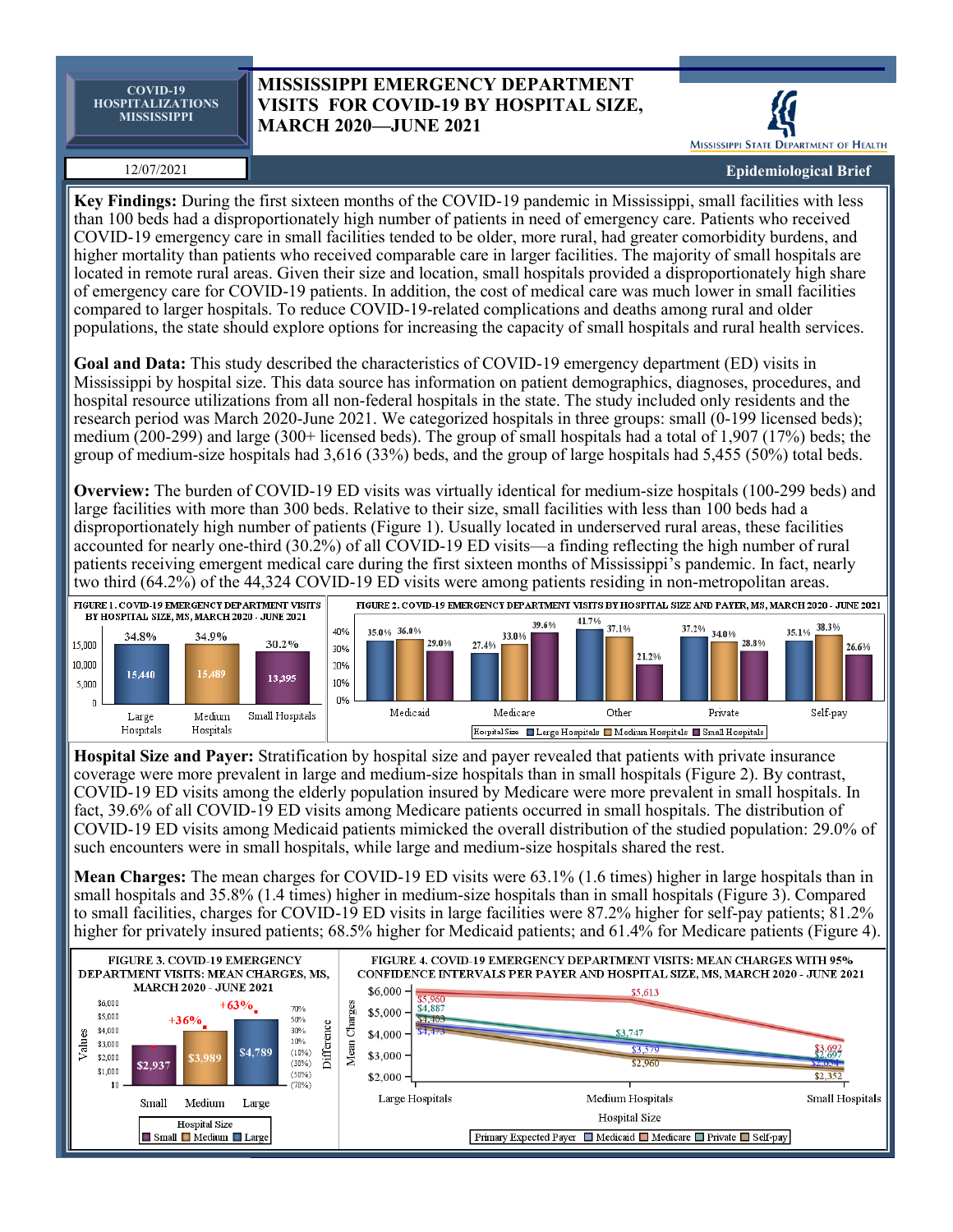**COVID-19 HOSPITALIZATIONS MISSISSIPPI**

## **MISSISSIPPI EMERGENCY DEPARTMENT VISITS FOR COVID-19 BY HOSPITAL SIZE, MARCH 2020—JUNE 2021**

MISSISSIPPI STATE DEPARTMENT OF HEALTH

12/07/2021

**Epidemiological Brief**

**Key Findings:** During the first sixteen months of the COVID-19 pandemic in Mississippi, small facilities with less than 100 beds had a disproportionately high number of patients in need of emergency care. Patients who received COVID-19 emergency care in small facilities tended to be older, more rural, had greater comorbidity burdens, and higher mortality than patients who received comparable care in larger facilities. The majority of small hospitals are located in remote rural areas. Given their size and location, small hospitals provided a disproportionately high share of emergency care for COVID-19 patients. In addition, the cost of medical care was much lower in small facilities compared to larger hospitals. To reduce COVID-19-related complications and deaths among rural and older populations, the state should explore options for increasing the capacity of small hospitals and rural health services.

**Goal and Data:** This study described the characteristics of COVID-19 emergency department (ED) visits in Mississippi by hospital size. This data source has information on patient demographics, diagnoses, procedures, and hospital resource utilizations from all non-federal hospitals in the state. The study included only residents and the research period was March 2020-June 2021. We categorized hospitals in three groups: small (0-199 licensed beds); medium (200-299) and large (300+ licensed beds). The group of small hospitals had a total of 1,907 (17%) beds; the group of medium-size hospitals had 3,616 (33%) beds, and the group of large hospitals had 5,455 (50%) total beds.

**Overview:** The burden of COVID-19 ED visits was virtually identical for medium-size hospitals (100-299 beds) and large facilities with more than 300 beds. Relative to their size, small facilities with less than 100 beds had a disproportionately high number of patients (Figure 1). Usually located in underserved rural areas, these facilities accounted for nearly one-third (30.2%) of all COVID-19 ED visits—a finding reflecting the high number of rural patients receiving emergent medical care during the first sixteen months of Mississippi's pandemic. In fact, nearly two third (64.2%) of the 44,324 COVID-19 ED visits were among patients residing in non-metropolitan areas.



**Hospital Size and Payer:** Stratification by hospital size and payer revealed that patients with private insurance coverage were more prevalent in large and medium-size hospitals than in small hospitals (Figure 2). By contrast, COVID-19 ED visits among the elderly population insured by Medicare were more prevalent in small hospitals. In fact, 39.6% of all COVID-19 ED visits among Medicare patients occurred in small hospitals. The distribution of COVID-19 ED visits among Medicaid patients mimicked the overall distribution of the studied population: 29.0% of such encounters were in small hospitals, while large and medium-size hospitals shared the rest.

**Mean Charges:** The mean charges for COVID-19 ED visits were 63.1% (1.6 times) higher in large hospitals than in small hospitals and 35.8% (1.4 times) higher in medium-size hospitals than in small hospitals (Figure 3). Compared to small facilities, charges for COVID-19 ED visits in large facilities were 87.2% higher for self-pay patients; 81.2% higher for privately insured patients; 68.5% higher for Medicaid patients; and 61.4% for Medicare patients (Figure 4).